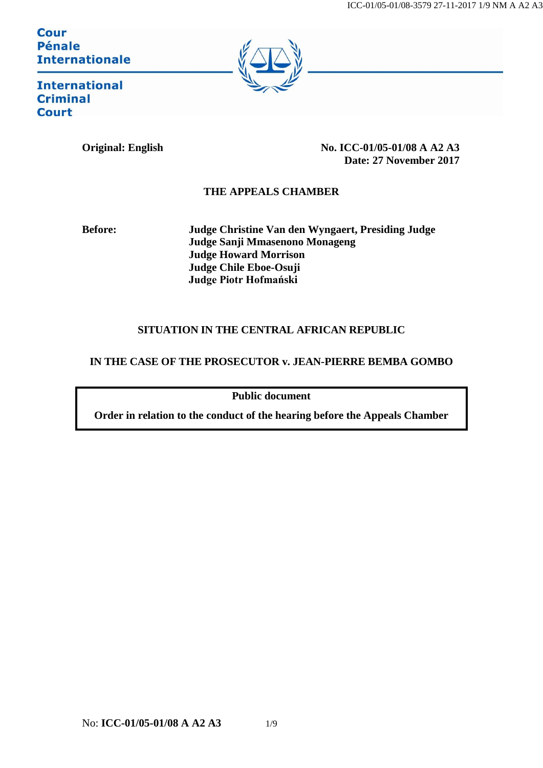**Cour Pénale Internationale** 



**International Criminal Court** 

**Original: English No. ICC-01/05-01/08 A A2 A3 Date: 27 November 2017**

## **THE APPEALS CHAMBER**

**Before: Judge Christine Van den Wyngaert, Presiding Judge Judge Sanji Mmasenono Monageng Judge Howard Morrison Judge Chile Eboe-Osuji Judge Piotr Hofmański**

## **SITUATION IN THE CENTRAL AFRICAN REPUBLIC**

## **IN THE CASE OF THE PROSECUTOR v. JEAN-PIERRE BEMBA GOMBO**

**Public document**

**Order in relation to the conduct of the hearing before the Appeals Chamber**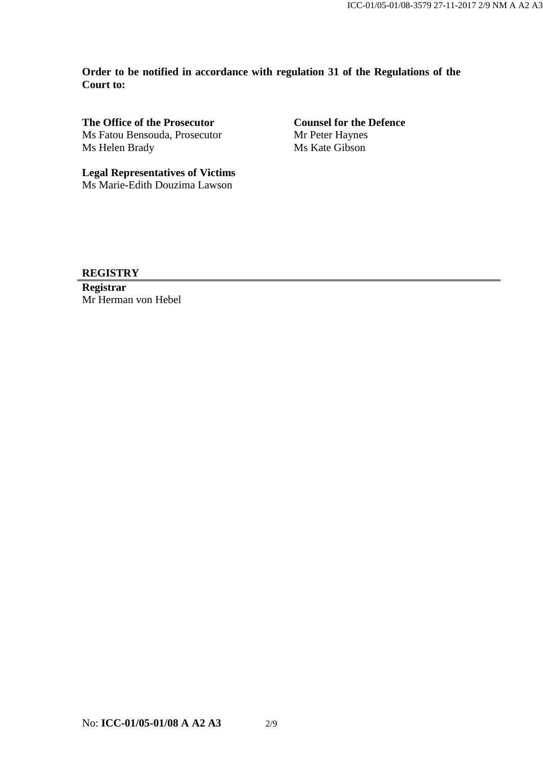**Order to be notified in accordance with regulation 31 of the Regulations of the Court to:**

**The Office of the Prosecutor** Ms Fatou Bensouda, Prosecutor Ms Helen Brady

**Counsel for the Defence** Mr Peter Haynes Ms Kate Gibson

**Legal Representatives of Victims** Ms Marie-Edith Douzima Lawson

**REGISTRY**

**Registrar** Mr Herman von Hebel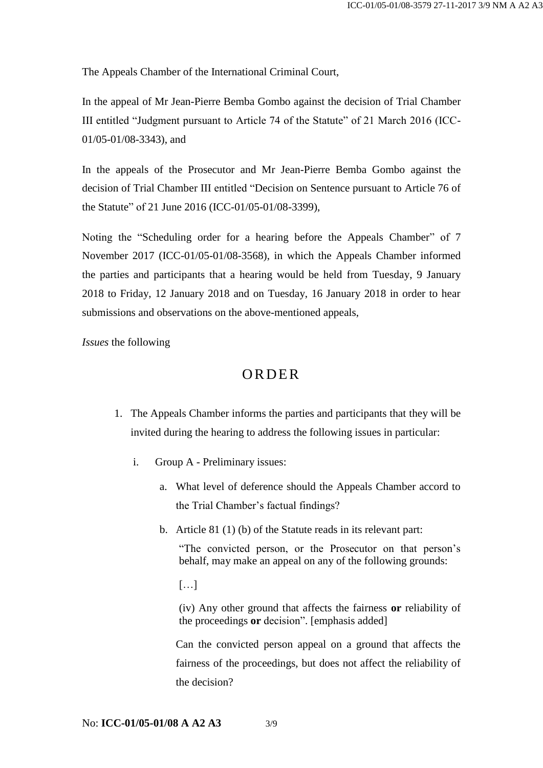The Appeals Chamber of the International Criminal Court,

In the appeal of Mr Jean-Pierre Bemba Gombo against the decision of Trial Chamber III entitled "Judgment pursuant to Article 74 of the Statute" of 21 March 2016 (ICC-01/05-01/08-3343), and

In the appeals of the Prosecutor and Mr Jean-Pierre Bemba Gombo against the decision of Trial Chamber III entitled "Decision on Sentence pursuant to Article 76 of the Statute" of 21 June 2016 (ICC-01/05-01/08-3399),

Noting the "Scheduling order for a hearing before the Appeals Chamber" of 7 November 2017 (ICC-01/05-01/08-3568), in which the Appeals Chamber informed the parties and participants that a hearing would be held from Tuesday, 9 January 2018 to Friday, 12 January 2018 and on Tuesday, 16 January 2018 in order to hear submissions and observations on the above-mentioned appeals,

*Issues* the following

## **ORDER**

- 1. The Appeals Chamber informs the parties and participants that they will be invited during the hearing to address the following issues in particular:
	- i. Group A Preliminary issues:
		- a. What level of deference should the Appeals Chamber accord to the Trial Chamber's factual findings?
		- b. Article 81 (1) (b) of the Statute reads in its relevant part:

"The convicted person, or the Prosecutor on that person's behalf, may make an appeal on any of the following grounds:

 $[...]$ 

(iv) Any other ground that affects the fairness **or** reliability of the proceedings **or** decision". [emphasis added]

Can the convicted person appeal on a ground that affects the fairness of the proceedings, but does not affect the reliability of the decision?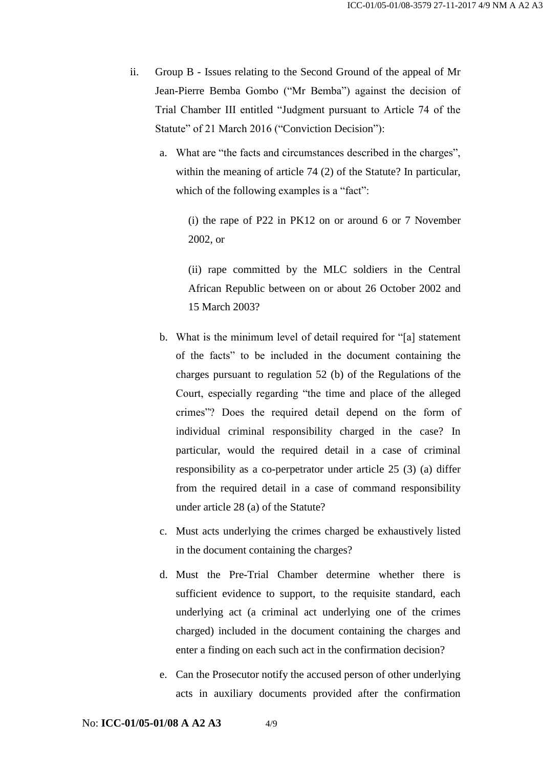- ii. Group B Issues relating to the Second Ground of the appeal of Mr Jean-Pierre Bemba Gombo ("Mr Bemba") against the decision of Trial Chamber III entitled "Judgment pursuant to Article 74 of the Statute" of 21 March 2016 ("Conviction Decision"):
	- a. What are "the facts and circumstances described in the charges", within the meaning of article 74 (2) of the Statute? In particular, which of the following examples is a "fact":

(i) the rape of P22 in PK12 on or around 6 or 7 November 2002, or

(ii) rape committed by the MLC soldiers in the Central African Republic between on or about 26 October 2002 and 15 March 2003?

- b. What is the minimum level of detail required for "[a] statement of the facts" to be included in the document containing the charges pursuant to regulation 52 (b) of the Regulations of the Court, especially regarding "the time and place of the alleged crimes"? Does the required detail depend on the form of individual criminal responsibility charged in the case? In particular, would the required detail in a case of criminal responsibility as a co-perpetrator under article 25 (3) (a) differ from the required detail in a case of command responsibility under article 28 (a) of the Statute?
- c. Must acts underlying the crimes charged be exhaustively listed in the document containing the charges?
- d. Must the Pre-Trial Chamber determine whether there is sufficient evidence to support, to the requisite standard, each underlying act (a criminal act underlying one of the crimes charged) included in the document containing the charges and enter a finding on each such act in the confirmation decision?
- e. Can the Prosecutor notify the accused person of other underlying acts in auxiliary documents provided after the confirmation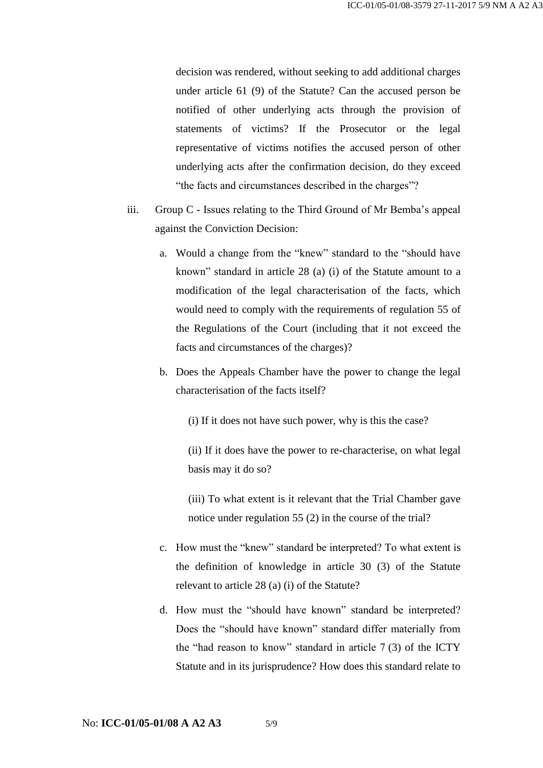decision was rendered, without seeking to add additional charges under article 61 (9) of the Statute? Can the accused person be notified of other underlying acts through the provision of statements of victims? If the Prosecutor or the legal representative of victims notifies the accused person of other underlying acts after the confirmation decision, do they exceed "the facts and circumstances described in the charges"?

- iii. Group C Issues relating to the Third Ground of Mr Bemba's appeal against the Conviction Decision:
	- a. Would a change from the "knew" standard to the "should have known" standard in article 28 (a) (i) of the Statute amount to a modification of the legal characterisation of the facts, which would need to comply with the requirements of regulation 55 of the Regulations of the Court (including that it not exceed the facts and circumstances of the charges)?
	- b. Does the Appeals Chamber have the power to change the legal characterisation of the facts itself?

(i) If it does not have such power, why is this the case?

(ii) If it does have the power to re-characterise, on what legal basis may it do so?

(iii) To what extent is it relevant that the Trial Chamber gave notice under regulation 55 (2) in the course of the trial?

- c. How must the "knew" standard be interpreted? To what extent is the definition of knowledge in article 30 (3) of the Statute relevant to article 28 (a) (i) of the Statute?
- d. How must the "should have known" standard be interpreted? Does the "should have known" standard differ materially from the "had reason to know" standard in article 7 (3) of the ICTY Statute and in its jurisprudence? How does this standard relate to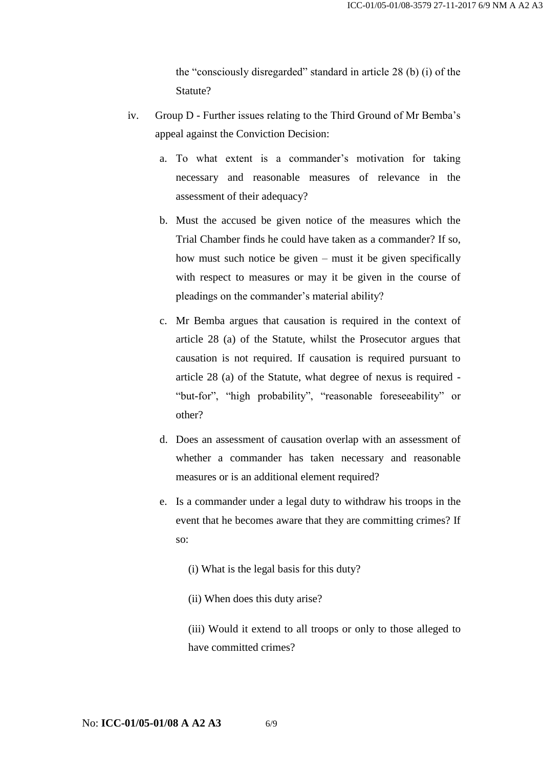the "consciously disregarded" standard in article 28 (b) (i) of the Statute?

- iv. Group D Further issues relating to the Third Ground of Mr Bemba's appeal against the Conviction Decision:
	- a. To what extent is a commander's motivation for taking necessary and reasonable measures of relevance in the assessment of their adequacy?
	- b. Must the accused be given notice of the measures which the Trial Chamber finds he could have taken as a commander? If so, how must such notice be given – must it be given specifically with respect to measures or may it be given in the course of pleadings on the commander's material ability?
	- c. Mr Bemba argues that causation is required in the context of article 28 (a) of the Statute, whilst the Prosecutor argues that causation is not required. If causation is required pursuant to article 28 (a) of the Statute, what degree of nexus is required - "but-for", "high probability", "reasonable foreseeability" or other?
	- d. Does an assessment of causation overlap with an assessment of whether a commander has taken necessary and reasonable measures or is an additional element required?
	- e. Is a commander under a legal duty to withdraw his troops in the event that he becomes aware that they are committing crimes? If so:
		- (i) What is the legal basis for this duty?
		- (ii) When does this duty arise?

(iii) Would it extend to all troops or only to those alleged to have committed crimes?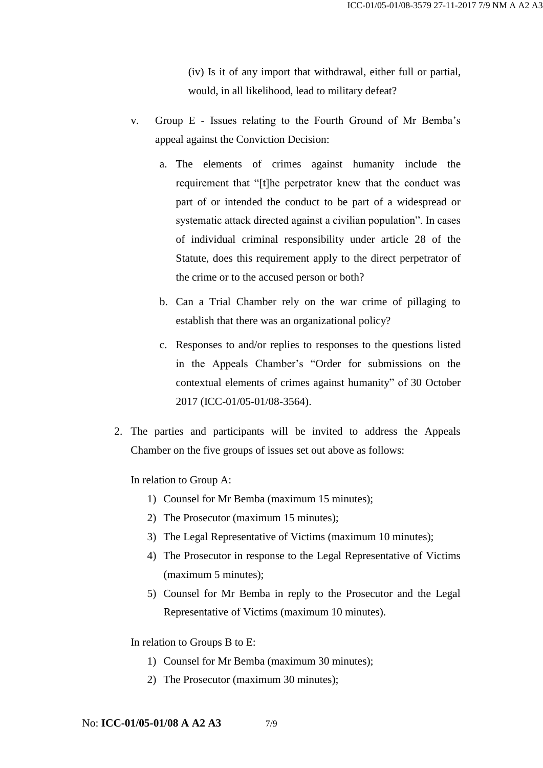(iv) Is it of any import that withdrawal, either full or partial, would, in all likelihood, lead to military defeat?

- v. Group E Issues relating to the Fourth Ground of Mr Bemba's appeal against the Conviction Decision:
	- a. The elements of crimes against humanity include the requirement that "[t]he perpetrator knew that the conduct was part of or intended the conduct to be part of a widespread or systematic attack directed against a civilian population". In cases of individual criminal responsibility under article 28 of the Statute, does this requirement apply to the direct perpetrator of the crime or to the accused person or both?
	- b. Can a Trial Chamber rely on the war crime of pillaging to establish that there was an organizational policy?
	- c. Responses to and/or replies to responses to the questions listed in the Appeals Chamber's "Order for submissions on the contextual elements of crimes against humanity" of 30 October 2017 (ICC-01/05-01/08-3564).
- 2. The parties and participants will be invited to address the Appeals Chamber on the five groups of issues set out above as follows:

In relation to Group A:

- 1) Counsel for Mr Bemba (maximum 15 minutes);
- 2) The Prosecutor (maximum 15 minutes);
- 3) The Legal Representative of Victims (maximum 10 minutes);
- 4) The Prosecutor in response to the Legal Representative of Victims (maximum 5 minutes);
- 5) Counsel for Mr Bemba in reply to the Prosecutor and the Legal Representative of Victims (maximum 10 minutes).

In relation to Groups B to E:

- 1) Counsel for Mr Bemba (maximum 30 minutes);
- 2) The Prosecutor (maximum 30 minutes);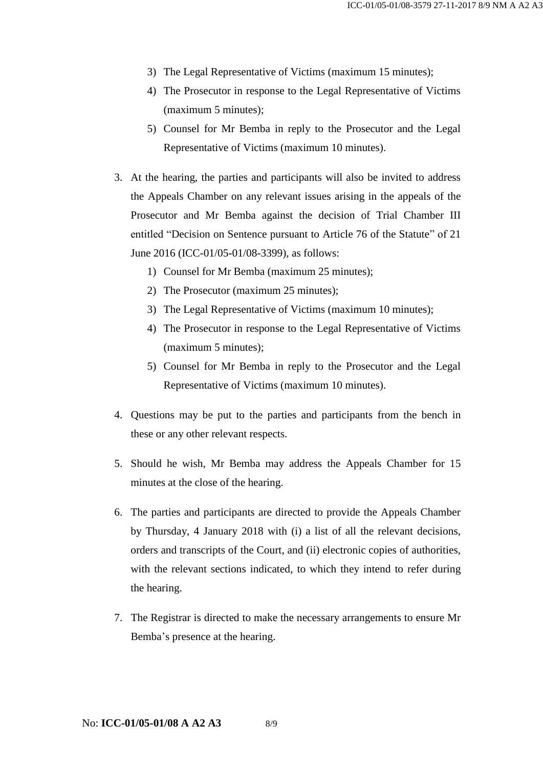- 3) The Legal Representative of Victims (maximum 15 minutes);
- 4) The Prosecutor in response to the Legal Representative of Victims (maximum 5 minutes);
- 5) Counsel for Mr Bemba in reply to the Prosecutor and the Legal Representative of Victims (maximum 10 minutes).
- 3. At the hearing, the parties and participants will also be invited to address the Appeals Chamber on any relevant issues arising in the appeals of the Prosecutor and Mr Bemba against the decision of Trial Chamber III entitled "Decision on Sentence pursuant to Article 76 of the Statute" of 21 June 2016 (ICC-01/05-01/08-3399), as follows:
	- 1) Counsel for Mr Bemba (maximum 25 minutes);
	- 2) The Prosecutor (maximum 25 minutes);
	- 3) The Legal Representative of Victims (maximum 10 minutes);
	- 4) The Prosecutor in response to the Legal Representative of Victims (maximum 5 minutes);
	- 5) Counsel for Mr Bemba in reply to the Prosecutor and the Legal Representative of Victims (maximum 10 minutes).
- 4. Questions may be put to the parties and participants from the bench in these or any other relevant respects.
- 5. Should he wish, Mr Bemba may address the Appeals Chamber for 15 minutes at the close of the hearing.
- 6. The parties and participants are directed to provide the Appeals Chamber by Thursday, 4 January 2018 with (i) a list of all the relevant decisions, orders and transcripts of the Court, and (ii) electronic copies of authorities, with the relevant sections indicated, to which they intend to refer during the hearing.
- 7. The Registrar is directed to make the necessary arrangements to ensure Mr Bemba's presence at the hearing.